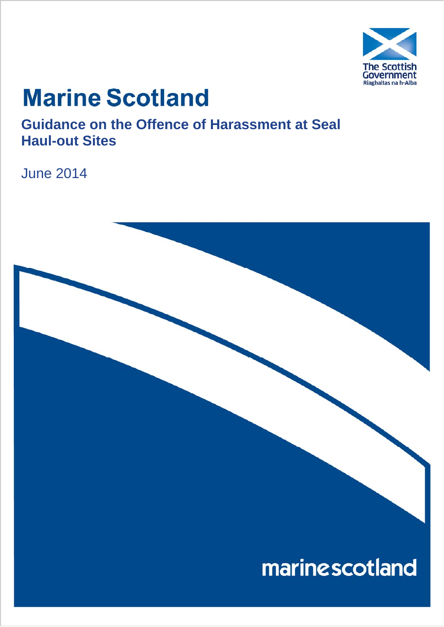

# **Marine Scotland**

**Guidance on the Offence of Harassment at Seal Haul-out Sites** 

June 2014

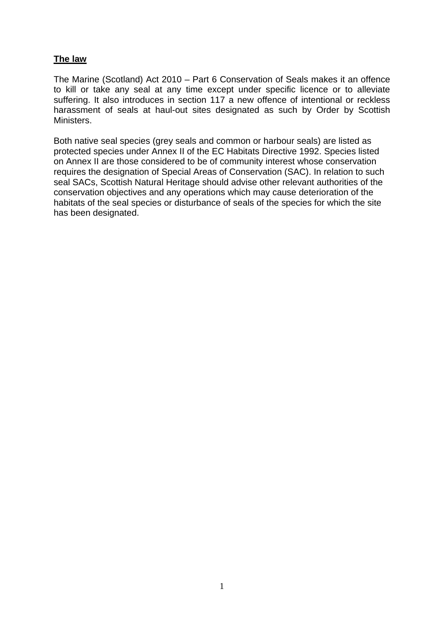# **The law**

The Marine (Scotland) Act 2010 – Part 6 Conservation of Seals makes it an offence to kill or take any seal at any time except under specific licence or to alleviate suffering. It also introduces in section 117 a new offence of intentional or reckless harassment of seals at haul-out sites designated as such by Order by Scottish Ministers.

Both native seal species (grey seals and common or harbour seals) are listed as protected species under Annex II of the EC Habitats Directive 1992. Species listed on Annex II are those considered to be of community interest whose conservation requires the designation of Special Areas of Conservation (SAC). In relation to such seal SACs, Scottish Natural Heritage should advise other relevant authorities of the conservation objectives and any operations which may cause deterioration of the habitats of the seal species or disturbance of seals of the species for which the site has been designated.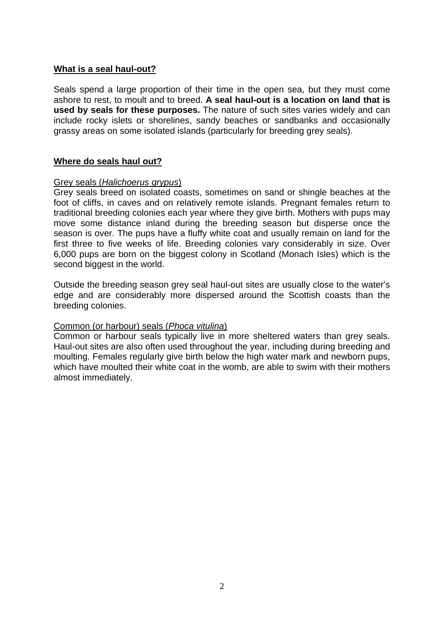# **What is a seal haul-out?**

Seals spend a large proportion of their time in the open sea, but they must come ashore to rest, to moult and to breed. **A seal haul-out is a location on land that is used by seals for these purposes.** The nature of such sites varies widely and can include rocky islets or shorelines, sandy beaches or sandbanks and occasionally grassy areas on some isolated islands (particularly for breeding grey seals).

# **Where do seals haul out?**

# Grey seals (*Halichoerus grypus*)

Grey seals breed on isolated coasts, sometimes on sand or shingle beaches at the foot of cliffs, in caves and on relatively remote islands. Pregnant females return to traditional breeding colonies each year where they give birth. Mothers with pups may move some distance inland during the breeding season but disperse once the season is over. The pups have a fluffy white coat and usually remain on land for the first three to five weeks of life. Breeding colonies vary considerably in size. Over 6,000 pups are born on the biggest colony in Scotland (Monach Isles) which is the second biggest in the world.

Outside the breeding season grey seal haul-out sites are usually close to the water's edge and are considerably more dispersed around the Scottish coasts than the breeding colonies.

# Common (or harbour) seals (*Phoca vitulina*)

Common or harbour seals typically live in more sheltered waters than grey seals. Haul-out sites are also often used throughout the year, including during breeding and moulting. Females regularly give birth below the high water mark and newborn pups, which have moulted their white coat in the womb, are able to swim with their mothers almost immediately.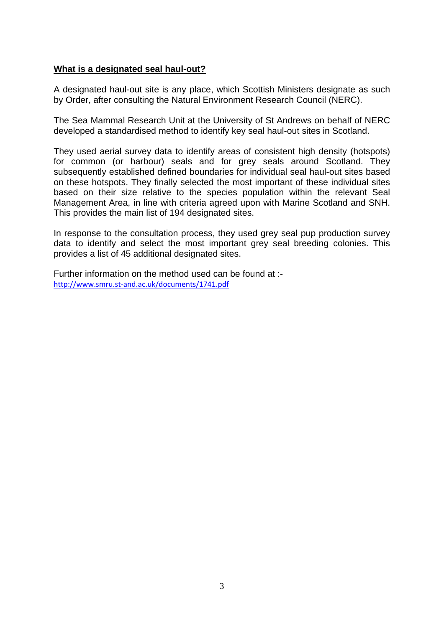# **What is a designated seal haul-out?**

A designated haul-out site is any place, which Scottish Ministers designate as such by Order, after consulting the Natural Environment Research Council (NERC).

The Sea Mammal Research Unit at the University of St Andrews on behalf of NERC developed a standardised method to identify key seal haul-out sites in Scotland.

They used aerial survey data to identify areas of consistent high density (hotspots) for common (or harbour) seals and for grey seals around Scotland. They subsequently established defined boundaries for individual seal haul-out sites based on these hotspots. They finally selected the most important of these individual sites based on their size relative to the species population within the relevant Seal Management Area, in line with criteria agreed upon with Marine Scotland and SNH. This provides the main list of 194 designated sites.

In response to the consultation process, they used grey seal pup production survey data to identify and select the most important grey seal breeding colonies. This provides a list of 45 additional designated sites.

Further information on the method used can be found at : http://www.smru.st‐and.ac.uk/documents/1741.pdf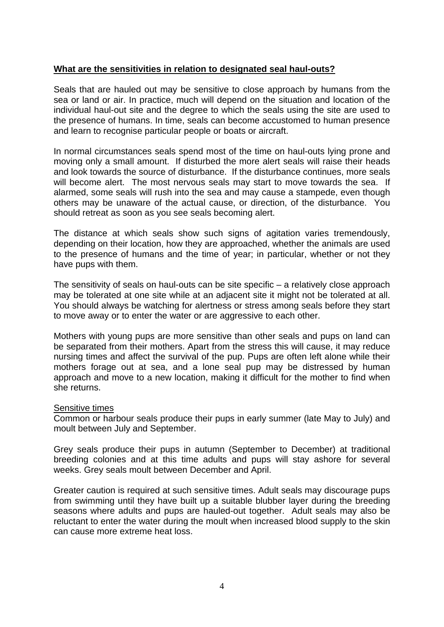# **What are the sensitivities in relation to designated seal haul-outs?**

Seals that are hauled out may be sensitive to close approach by humans from the sea or land or air. In practice, much will depend on the situation and location of the individual haul-out site and the degree to which the seals using the site are used to the presence of humans. In time, seals can become accustomed to human presence and learn to recognise particular people or boats or aircraft.

In normal circumstances seals spend most of the time on haul-outs lying prone and moving only a small amount. If disturbed the more alert seals will raise their heads and look towards the source of disturbance. If the disturbance continues, more seals will become alert. The most nervous seals may start to move towards the sea. If alarmed, some seals will rush into the sea and may cause a stampede, even though others may be unaware of the actual cause, or direction, of the disturbance. You should retreat as soon as you see seals becoming alert.

The distance at which seals show such signs of agitation varies tremendously, depending on their location, how they are approached, whether the animals are used to the presence of humans and the time of year; in particular, whether or not they have pups with them.

The sensitivity of seals on haul-outs can be site specific – a relatively close approach may be tolerated at one site while at an adjacent site it might not be tolerated at all. You should always be watching for alertness or stress among seals before they start to move away or to enter the water or are aggressive to each other.

Mothers with young pups are more sensitive than other seals and pups on land can be separated from their mothers. Apart from the stress this will cause, it may reduce nursing times and affect the survival of the pup. Pups are often left alone while their mothers forage out at sea, and a lone seal pup may be distressed by human approach and move to a new location, making it difficult for the mother to find when she returns.

## Sensitive times

Common or harbour seals produce their pups in early summer (late May to July) and moult between July and September.

Grey seals produce their pups in autumn (September to December) at traditional breeding colonies and at this time adults and pups will stay ashore for several weeks. Grey seals moult between December and April.

Greater caution is required at such sensitive times. Adult seals may discourage pups from swimming until they have built up a suitable blubber layer during the breeding seasons where adults and pups are hauled-out together. Adult seals may also be reluctant to enter the water during the moult when increased blood supply to the skin can cause more extreme heat loss.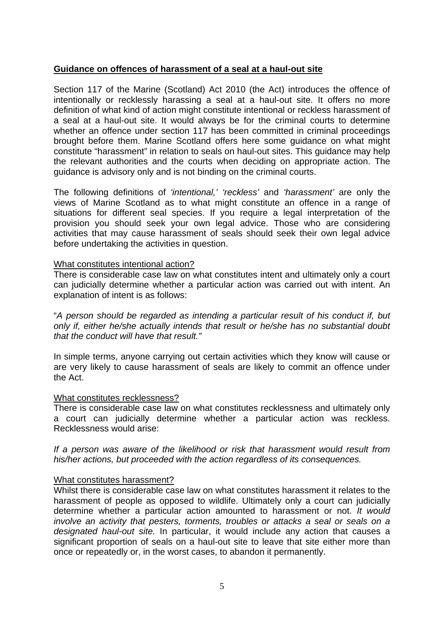## **Guidance on offences of harassment of a seal at a haul-out site**

Section 117 of the Marine (Scotland) Act 2010 (the Act) introduces the offence of intentionally or recklessly harassing a seal at a haul-out site. It offers no more definition of what kind of action might constitute intentional or reckless harassment of a seal at a haul-out site. It would always be for the criminal courts to determine whether an offence under section 117 has been committed in criminal proceedings brought before them. Marine Scotland offers here some guidance on what might constitute "harassment" in relation to seals on haul-out sites. This guidance may help the relevant authorities and the courts when deciding on appropriate action. The guidance is advisory only and is not binding on the criminal courts.

The following definitions of *'intentional,' 'reckless'* and *'harassment'* are only the views of Marine Scotland as to what might constitute an offence in a range of situations for different seal species. If you require a legal interpretation of the provision you should seek your own legal advice. Those who are considering activities that may cause harassment of seals should seek their own legal advice before undertaking the activities in question.

#### What constitutes intentional action?

There is considerable case law on what constitutes intent and ultimately only a court can judicially determine whether a particular action was carried out with intent. An explanation of intent is as follows:

"*A person should be regarded as intending a particular result of his conduct if, but only if, either he/she actually intends that result or he/she has no substantial doubt that the conduct will have that result."*

In simple terms, anyone carrying out certain activities which they know will cause or are very likely to cause harassment of seals are likely to commit an offence under the Act.

#### What constitutes recklessness?

There is considerable case law on what constitutes recklessness and ultimately only a court can judicially determine whether a particular action was reckless. Recklessness would arise:

*If a person was aware of the likelihood or risk that harassment would result from his/her actions, but proceeded with the action regardless of its consequences.* 

## What constitutes harassment?

Whilst there is considerable case law on what constitutes harassment it relates to the harassment of people as opposed to wildlife. Ultimately only a court can judicially determine whether a particular action amounted to harassment or not. *It would involve an activity that pesters, torments, troubles or attacks a seal or seals on a designated haul-out site.* In particular, it would include any action that causes a significant proportion of seals on a haul-out site to leave that site either more than once or repeatedly or, in the worst cases, to abandon it permanently.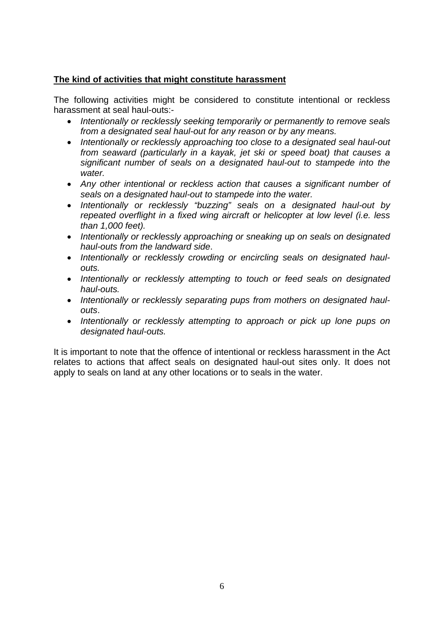# **The kind of activities that might constitute harassment**

The following activities might be considered to constitute intentional or reckless harassment at seal haul-outs:-

- *Intentionally or recklessly seeking temporarily or permanently to remove seals from a designated seal haul-out for any reason or by any means.*
- *Intentionally or recklessly approaching too close to a designated seal haul-out from seaward (particularly in a kayak, jet ski or speed boat) that causes a significant number of seals on a designated haul-out to stampede into the water.*
- *Any other intentional or reckless action that causes a significant number of seals on a designated haul-out to stampede into the water.*
- *Intentionally or recklessly "buzzing" seals on a designated haul-out by repeated overflight in a fixed wing aircraft or helicopter at low level (i.e. less than 1,000 feet).*
- *Intentionally or recklessly approaching or sneaking up on seals on designated haul-outs from the landward side*.
- Intentionally or recklessly crowding or encircling seals on designated haul*outs.*
- *Intentionally or recklessly attempting to touch or feed seals on designated haul-outs.*
- Intentionally or recklessly separating pups from mothers on designated haul*outs*.
- Intentionally or recklessly attempting to approach or pick up lone pups on *designated haul-outs.*

It is important to note that the offence of intentional or reckless harassment in the Act relates to actions that affect seals on designated haul-out sites only. It does not apply to seals on land at any other locations or to seals in the water.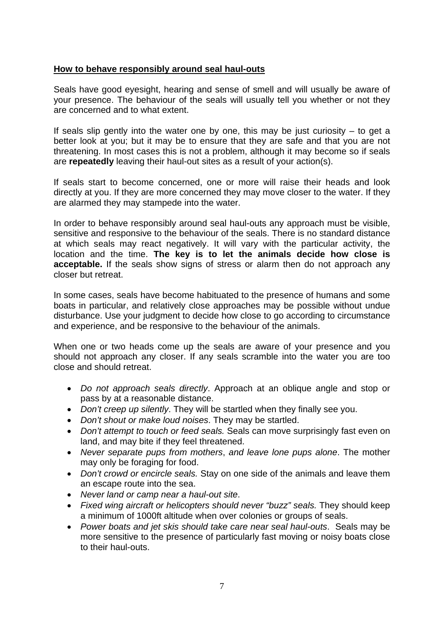# **How to behave responsibly around seal haul-outs**

Seals have good eyesight, hearing and sense of smell and will usually be aware of your presence. The behaviour of the seals will usually tell you whether or not they are concerned and to what extent.

If seals slip gently into the water one by one, this may be just curiosity  $-$  to get a better look at you; but it may be to ensure that they are safe and that you are not threatening. In most cases this is not a problem, although it may become so if seals are **repeatedly** leaving their haul-out sites as a result of your action(s).

If seals start to become concerned, one or more will raise their heads and look directly at you. If they are more concerned they may move closer to the water. If they are alarmed they may stampede into the water.

In order to behave responsibly around seal haul-outs any approach must be visible, sensitive and responsive to the behaviour of the seals. There is no standard distance at which seals may react negatively. It will vary with the particular activity, the location and the time. **The key is to let the animals decide how close is acceptable.** If the seals show signs of stress or alarm then do not approach any closer but retreat.

In some cases, seals have become habituated to the presence of humans and some boats in particular, and relatively close approaches may be possible without undue disturbance. Use your judgment to decide how close to go according to circumstance and experience, and be responsive to the behaviour of the animals.

When one or two heads come up the seals are aware of your presence and you should not approach any closer. If any seals scramble into the water you are too close and should retreat.

- *Do not approach seals directly*. Approach at an oblique angle and stop or pass by at a reasonable distance.
- *Don't creep up silently*. They will be startled when they finally see you.
- *Don't shout or make loud noises*. They may be startled.
- *Don't attempt to touch or feed seals.* Seals can move surprisingly fast even on land, and may bite if they feel threatened.
- *Never separate pups from mothers*, *and leave lone pups alone*. The mother may only be foraging for food.
- *Don't crowd or encircle seals.* Stay on one side of the animals and leave them an escape route into the sea.
- *Never land or camp near a haul-out site*.
- *Fixed wing aircraft or helicopters should never "buzz" seals.* They should keep a minimum of 1000ft altitude when over colonies or groups of seals.
- *Power boats and jet skis should take care near seal haul-outs*. Seals may be more sensitive to the presence of particularly fast moving or noisy boats close to their haul-outs.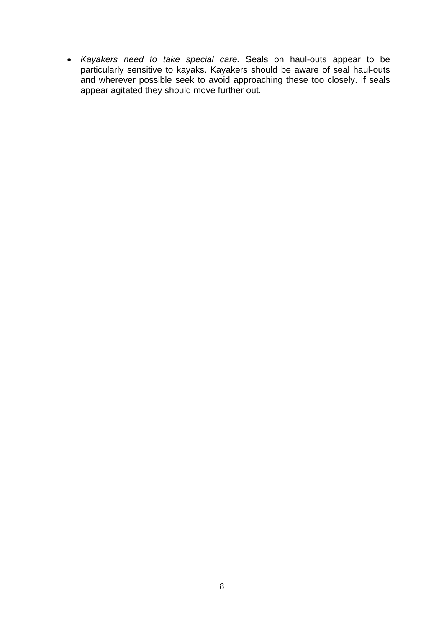*Kayakers need to take special care.* Seals on haul-outs appear to be particularly sensitive to kayaks. Kayakers should be aware of seal haul-outs and wherever possible seek to avoid approaching these too closely. If seals appear agitated they should move further out.